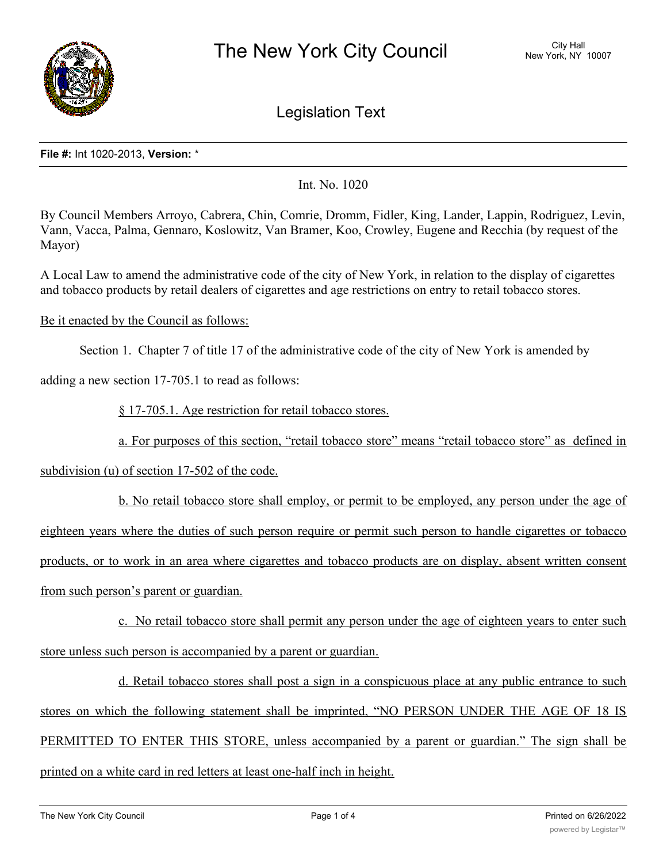

Legislation Text

## **File #:** Int 1020-2013, **Version:** \*

Int. No. 1020

By Council Members Arroyo, Cabrera, Chin, Comrie, Dromm, Fidler, King, Lander, Lappin, Rodriguez, Levin, Vann, Vacca, Palma, Gennaro, Koslowitz, Van Bramer, Koo, Crowley, Eugene and Recchia (by request of the Mayor)

A Local Law to amend the administrative code of the city of New York, in relation to the display of cigarettes and tobacco products by retail dealers of cigarettes and age restrictions on entry to retail tobacco stores.

## Be it enacted by the Council as follows:

Section 1. Chapter 7 of title 17 of the administrative code of the city of New York is amended by

adding a new section 17-705.1 to read as follows:

§ 17-705.1. Age restriction for retail tobacco stores.

a. For purposes of this section, "retail tobacco store" means "retail tobacco store" as defined in

subdivision (u) of section 17-502 of the code.

b. No retail tobacco store shall employ, or permit to be employed, any person under the age of eighteen years where the duties of such person require or permit such person to handle cigarettes or tobacco products, or to work in an area where cigarettes and tobacco products are on display, absent written consent from such person's parent or guardian.

c. No retail tobacco store shall permit any person under the age of eighteen years to enter such store unless such person is accompanied by a parent or guardian.

d. Retail tobacco stores shall post a sign in a conspicuous place at any public entrance to such stores on which the following statement shall be imprinted, "NO PERSON UNDER THE AGE OF 18 IS PERMITTED TO ENTER THIS STORE, unless accompanied by a parent or guardian." The sign shall be printed on a white card in red letters at least one-half inch in height.

 $\mathcal{L}$  . Chapter 7 of title 17 of title 17 of the administrative code of  $\mathcal{L}$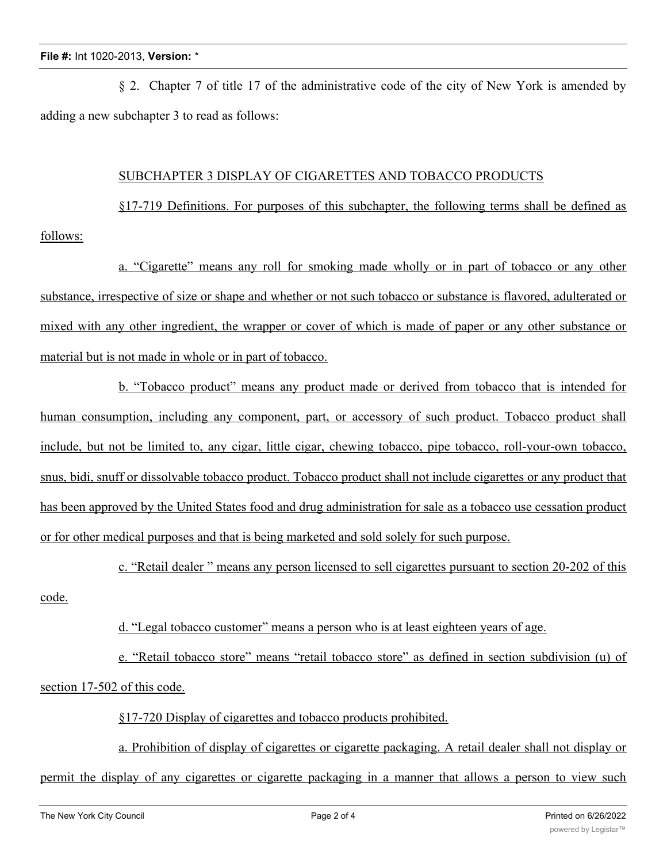§ 2. Chapter 7 of title 17 of the administrative code of the city of New York is amended by adding a new subchapter 3 to read as follows:

## SUBCHAPTER 3 DISPLAY OF CIGARETTES AND TOBACCO PRODUCTS

§17-719 Definitions. For purposes of this subchapter, the following terms shall be defined as follows:

a. "Cigarette" means any roll for smoking made wholly or in part of tobacco or any other substance, irrespective of size or shape and whether or not such tobacco or substance is flavored, adulterated or mixed with any other ingredient, the wrapper or cover of which is made of paper or any other substance or material but is not made in whole or in part of tobacco.

b. "Tobacco product" means any product made or derived from tobacco that is intended for human consumption, including any component, part, or accessory of such product. Tobacco product shall include, but not be limited to, any cigar, little cigar, chewing tobacco, pipe tobacco, roll-your-own tobacco, snus, bidi, snuff or dissolvable tobacco product. Tobacco product shall not include cigarettes or any product that has been approved by the United States food and drug administration for sale as a tobacco use cessation product or for other medical purposes and that is being marketed and sold solely for such purpose.

c. "Retail dealer " means any person licensed to sell cigarettes pursuant to section 20-202 of this code.

d. "Legal tobacco customer" means a person who is at least eighteen years of age.

e. "Retail tobacco store" means "retail tobacco store" as defined in section subdivision (u) of section 17-502 of this code.

§17-720 Display of cigarettes and tobacco products prohibited.

a. Prohibition of display of cigarettes or cigarette packaging. A retail dealer shall not display or permit the display of any cigarettes or cigarette packaging in a manner that allows a person to view such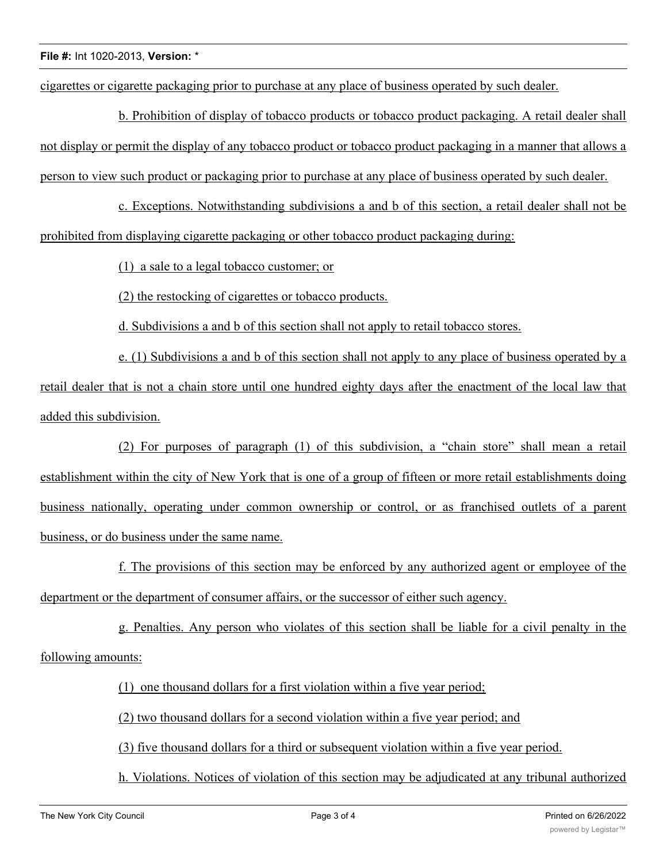cigarettes or cigarette packaging prior to purchase at any place of business operated by such dealer.

b. Prohibition of display of tobacco products or tobacco product packaging. A retail dealer shall not display or permit the display of any tobacco product or tobacco product packaging in a manner that allows a person to view such product or packaging prior to purchase at any place of business operated by such dealer.

c. Exceptions. Notwithstanding subdivisions a and b of this section, a retail dealer shall not be prohibited from displaying cigarette packaging or other tobacco product packaging during:

(1) a sale to a legal tobacco customer; or

(2) the restocking of cigarettes or tobacco products.

d. Subdivisions a and b of this section shall not apply to retail tobacco stores.

e. (1) Subdivisions a and b of this section shall not apply to any place of business operated by a retail dealer that is not a chain store until one hundred eighty days after the enactment of the local law that added this subdivision.

(2) For purposes of paragraph (1) of this subdivision, a "chain store" shall mean a retail establishment within the city of New York that is one of a group of fifteen or more retail establishments doing business nationally, operating under common ownership or control, or as franchised outlets of a parent business, or do business under the same name.

f. The provisions of this section may be enforced by any authorized agent or employee of the department or the department of consumer affairs, or the successor of either such agency.

g. Penalties. Any person who violates of this section shall be liable for a civil penalty in the following amounts:

(1) one thousand dollars for a first violation within a five year period;

(2) two thousand dollars for a second violation within a five year period; and

(3) five thousand dollars for a third or subsequent violation within a five year period.

h. Violations. Notices of violation of this section may be adjudicated at any tribunal authorized